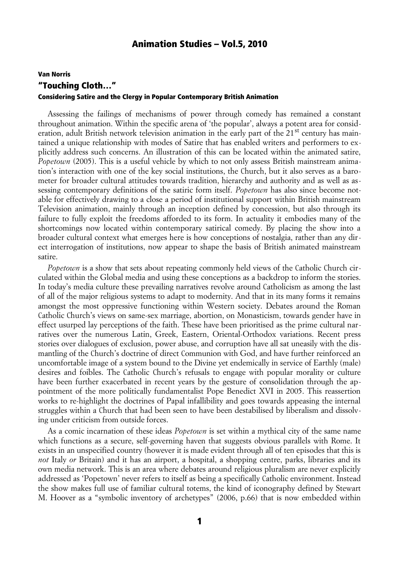# Van Norris "Touching Cloth…" Considering Satire and the Clergy in Popular Contemporary British Animation

Assessing the failings of mechanisms of power through comedy has remained a constant throughout animation. Within the specific arena of 'the popular', always a potent area for consideration, adult British network television animation in the early part of the 21<sup>st</sup> century has maintained a unique relationship with modes of Satire that has enabled writers and performers to explicitly address such concerns. An illustration of this can be located within the animated satire, *Popetown* (2005). This is a useful vehicle by which to not only assess British mainstream animation's interaction with one of the key social institutions, the Church, but it also serves as a barometer for broader cultural attitudes towards tradition, hierarchy and authority and as well as assessing contemporary definitions of the satiric form itself. *Popetown* has also since become notable for effectively drawing to a close a period of institutional support within British mainstream Television animation, mainly through an inception defined by concession, but also through its failure to fully exploit the freedoms afforded to its form. In actuality it embodies many of the shortcomings now located within contemporary satirical comedy. By placing the show into a broader cultural context what emerges here is how conceptions of nostalgia, rather than any direct interrogation of institutions, now appear to shape the basis of British animated mainstream satire.

*Popetown* is a show that sets about repeating commonly held views of the Catholic Church circulated within the Global media and using these conceptions as a backdrop to inform the stories. In today's media culture these prevailing narratives revolve around Catholicism as among the last of all of the major religious systems to adapt to modernity. And that in its many forms it remains amongst the most oppressive functioning within Western society. Debates around the Roman Catholic Church's views on same-sex marriage, abortion, on Monasticism, towards gender have in effect usurped lay perceptions of the faith. These have been prioritised as the prime cultural narratives over the numerous Latin, Greek, Eastern, Oriental-Orthodox variations. Recent press stories over dialogues of exclusion, power abuse, and corruption have all sat uneasily with the dismantling of the Church's doctrine of direct Communion with God, and have further reinforced an uncomfortable image of a system bound to the Divine yet endemically in service of Earthly (male) desires and foibles. The Catholic Church's refusals to engage with popular morality or culture have been further exacerbated in recent years by the gesture of consolidation through the appointment of the more politically fundamentalist Pope Benedict XVI in 2005. This reassertion works to re-highlight the doctrines of Papal infallibility and goes towards appeasing the internal struggles within a Church that had been seen to have been destabilised by liberalism and dissolving under criticism from outside forces.

As a comic incarnation of these ideas *Popetown* is set within a mythical city of the same name which functions as a secure, self-governing haven that suggests obvious parallels with Rome. It exists in an unspecified country (however it is made evident through all of ten episodes that this is *not* Italy *or* Britain) and it has an airport, a hospital, a shopping centre, parks, libraries and its own media network. This is an area where debates around religious pluralism are never explicitly addressed as 'Popetown' never refers to itself as being a specifically Catholic environment. Instead the show makes full use of familiar cultural totems, the kind of iconography defined by Stewart M. Hoover as a "symbolic inventory of archetypes" (2006, p.66) that is now embedded within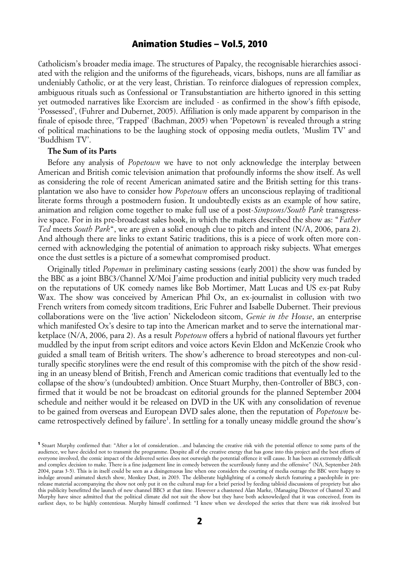Catholicism's broader media image. The structures of Papalcy, the recognisable hierarchies associated with the religion and the uniforms of the figureheads, vicars, bishops, nuns are all familiar as undeniably Catholic, or at the very least, Christian. To reinforce dialogues of repression complex, ambiguous rituals such as Confessional or Transubstantiation are hitherto ignored in this setting yet outmoded narratives like Exorcism are included - as confirmed in the show's fifth episode, 'Possessed', (Fuhrer and Dubernet, 2005). Affiliation is only made apparent by comparison in the finale of episode three, 'Trapped' (Bachman, 2005) when 'Popetown' is revealed through a string of political machinations to be the laughing stock of opposing media outlets, 'Muslim TV' and 'Buddhism TV'.

### **The Sum of its Parts**

Before any analysis of *Popetown* we have to not only acknowledge the interplay between American and British comic television animation that profoundly informs the show itself. As well as considering the role of recent American animated satire and the British setting for this transplantation we also have to consider how *Popetown* offers an unconscious replaying of traditional literate forms through a postmodern fusion. It undoubtedly exists as an example of how satire, animation and religion come together to make full use of a post-*Simpsons/South Park* transgressive space. For in its pre-broadcast sales hook, in which the makers described the show as: "*Father Ted* meets *South Park*", we are given a solid enough clue to pitch and intent (N/A, 2006, para 2). And although there are links to extant Satiric traditions, this is a piece of work often more concerned with acknowledging the potential of animation to approach risky subjects. What emerges once the dust settles is a picture of a somewhat compromised product.

Originally titled *Popeman* in preliminary casting sessions (early 2001) the show was funded by the BBC as a joint BBC3/Channel X/Moi J'aime production and initial publicity very much traded on the reputations of UK comedy names like Bob Mortimer, Matt Lucas and US ex-pat Ruby Wax. The show was conceived by American Phil Ox, an ex-journalist in collusion with two French writers from comedy sitcom traditions, Eric Fuhrer and Isabelle Dubernet. Their previous collaborations were on the 'live action' Nickelodeon sitcom, *Genie in the House*, an enterprise which manifested Ox's desire to tap into the American market and to serve the international marketplace (N/A, 2006, para 2). As a result *Popetown* offers a hybrid of national flavours yet further muddled by the input from script editors and voice actors Kevin Eldon and McKenzie Crook who guided a small team of British writers. The show's adherence to broad stereotypes and non-culturally specific storylines were the end result of this compromise with the pitch of the show residing in an uneasy blend of British, French and American comic traditions that eventually led to the collapse of the show's (undoubted) ambition. Once Stuart Murphy, then-Controller of BBC3, confirmed that it would be not be broadcast on editorial grounds for the planned September 2004 schedule and neither would it be released on DVD in the UK with any consolidation of revenue to be gained from overseas and European DVD sales alone, then the reputation of *Popetown* be-came retrospectively defined by failure<sup>[1](#page-1-0)</sup>. In settling for a tonally uneasy middle ground the show's

<span id="page-1-0"></span><sup>1</sup> Stuart Murphy confirmed that: "After a lot of consideration…and balancing the creative risk with the potential offence to some parts of the audience, we have decided not to transmit the programme. Despite all of the creative energy that has gone into this project and the best efforts of everyone involved, the comic impact of the delivered series does not outweigh the potential offence it will cause. It has been an extremely difficult and complex decision to make. There is a fine judgement line in comedy between the scurrilously funny and the offensive" (NA, September 24th 2004, paras 3-5). This is in itself could be seen as a disingenuous line when one considers the courting of media outrage the BBC were happy to indulge around animated sketch show, Monkey Dust, in 2003. The deliberate highlighting of a comedy sketch featuring a paedophile in prerelease material accompanying the show not only put it on the cultural map for a brief period by feeding tabloid discussions of propriety but also this publicity benefitted the launch of new channel BBC3 at that time. However a chastened Alan Marke, (Managing Director of Channel X) and Murphy have since admitted that the political climate did not suit the show but they have both acknowledged that it was conceived, from its earliest days, to be highly contentious. Murphy himself confirmed: "I knew when we developed the series that there was risk involved but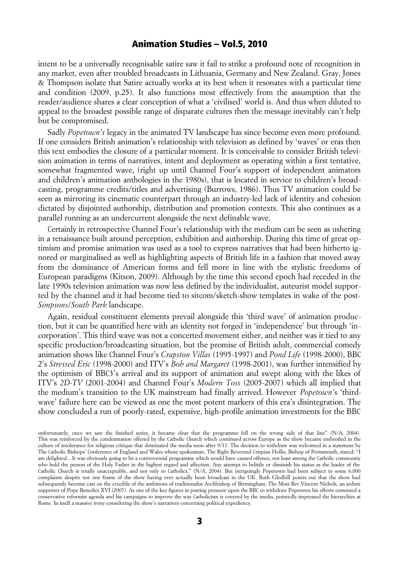intent to be a universally recognisable satire saw it fail to strike a profound note of recognition in any market, even after troubled broadcasts in Lithuania, Germany and New Zealand. Gray, Jones & Thompson isolate that Satire actually works at its best when it resonates with a particular time and condition (2009, p.25). It also functions most effectively from the assumption that the reader/audience shares a clear conception of what a 'civilised' world is. And thus when diluted to appeal to the broadest possible range of disparate cultures then the message inevitably can't help but be compromised.

Sadly *Popetown's* legacy in the animated TV landscape has since become even more profound. If one considers British animation's relationship with television as defined by 'waves' or eras then this text embodies the closure of a particular moment. It is conceivable to consider British television animation in terms of narratives, intent and deployment as operating within a first tentative, somewhat fragmented wave, (right up until Channel Four's support of independent animators and children's animation anthologies in the 1980s), that is located in service to children's broadcasting, programme credits/titles and advertising (Burrows, 1986). Thus TV animation could be seen as mirroring its cinematic counterpart through an industry-led lack of identity and cohesion dictated by disjointed authorship, distribution and promotion contexts. This also continues as a parallel running as an undercurrent alongside the next definable wave.

Certainly in retrospective Channel Four's relationship with the medium can be seen as ushering in a renaissance built around perception, exhibition and authorship. During this time of great optimism and promise animation was used as a tool to express narratives that had been hitherto ignored or marginalised as well as highlighting aspects of British life in a fashion that moved away from the dominance of American forms and fell more in line with the stylistic freedoms of European paradigms (Kitson, 2009). Although by the time this second epoch had receded in the late 1990s television animation was now less defined by the individualist, auteurist model supported by the channel and it had become tied to sitcom/sketch-show templates in wake of the post-*Simpsons*/*South Park* landscape.

Again, residual constituent elements prevail alongside this 'third wave' of animation production, but it can be quantified here with an identity not forged in 'independence' but through 'incorporation'. This third wave was not a concerted movement either, and neither was it tied to any specific production/broadcasting situation, but the promise of British adult, commercial comedy animation shows like Channel Four's *Crapston Villas* (1995-1997) and *Pond Life* (1998-2000), BBC 2's *Stressed Eric* (1998-2000) and ITV's *Bob and Margaret* (1998-2001), was further intensified by the optimism of BBC3's arrival and its support of animation and swept along with the likes of ITV's *2D-TV* (2001-2004) and Channel Four's *Modern Toss* (2005-2007) which all implied that the medium's transition to the UK mainstream had finally arrived. However *Popetown'*s 'thirdwave' failure here can be viewed as one the most potent markers of this era's disintegration. The show concluded a run of poorly-rated, expensive, high-profile animation investments for the BBC

unfortunately, once we saw the finished series, it became clear that the programme fell on the wrong side of that line" (N/A, 2004). This was reinforced by the condemnation offered by the Catholic Church which continued across Europe as the show became embroiled in the culture of intolerance for religious critique that dominated the media soon after 9/11. The decision to withdraw was welcomed in a statement by The Catholic Bishops' Conference of England and Wales whose spokesman, The Right Reverend Crispian Hollis, Bishop of Portsmouth, stated: "I am delighted…It was obviously going to be a controversial programme which would have caused offence, not least among the Catholic community who hold the person of the Holy Father in the highest regard and affection. Any attempt to belittle or diminish his status as the leader of the Catholic Church is totally unacceptable, and not only to Catholics," (N/A, 2004). But intriguingly Popetown had been subject to some 6,000 complaints despite not one frame of the show having ever actually been broadcast in the UK. Ruth Gledhill points out that the show had subsequently become cast on the crucible of the ambitions of traditionalist Archbishop of Birmingham, The Most Rev Vincent Nichols, an ardent supporter of Pope Benedict XVI (2007). As one of the key figures in putting pressure upon the BBC to withdraw Popetown his efforts cemented a conservative reformist agenda and his campaigns to improve the way Catholicism is covered by the media, pointedly impressed the hierarchies at Rome. In itself a massive irony considering the show's narratives concerning political expediency.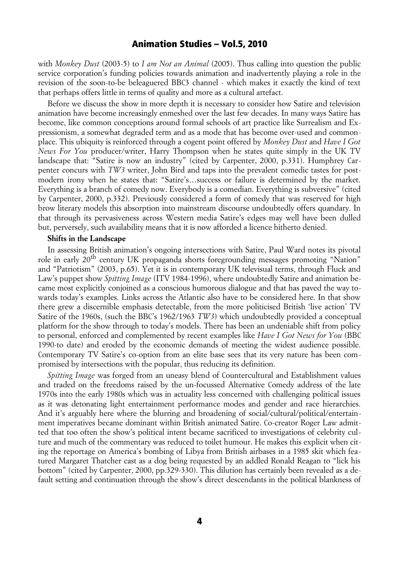with *Monkey Dust* (2003-5) to *I am Not an Animal* (2005). Thus calling into question the public service corporation's funding policies towards animation and inadvertently playing a role in the revision of the soon-to-be beleaguered BBC3 channel - which makes it exactly the kind of text that perhaps offers little in terms of quality and more as a cultural artefact.

Before we discuss the show in more depth it is necessary to consider how Satire and television animation have become increasingly enmeshed over the last few decades. In many ways Satire has become, like common conceptions around formal schools of art practice like Surrealism and Expressionism, a somewhat degraded term and as a mode that has become over-used and commonplace. This ubiquity is reinforced through a cogent point offered by *Monkey Dust* and *Have I Got News For You* producer/writer, Harry Thompson when he states quite simply in the UK TV landscape that: "Satire is now an industry" (cited by Carpenter, 2000, p.331). Humphrey Carpenter concurs with *TW3* writer, John Bird and taps into the prevalent comedic tastes for postmodern irony when he states that: "Satire's…success or failure is determined by the market. Everything is a branch of comedy now. Everybody is a comedian. Everything is subversive" (cited by Carpenter, 2000, p.332). Previously considered a form of comedy that was reserved for high brow literary models this absorption into mainstream discourse undoubtedly offers quandary. In that through its pervasiveness across Western media Satire's edges may well have been dulled but, perversely, such availability means that it is now afforded a licence hitherto denied.

### **Shifts in the Landscape**

In assessing British animation's ongoing intersections with Satire, Paul Ward notes its pivotal role in early 20<sup>th</sup> century UK propaganda shorts foregrounding messages promoting "Nation" and "Patriotism" (2003, p.65). Yet it is in contemporary UK televisual terms, through Fluck and Law's puppet show *Spitting Image* (ITV 1984-1996), where undoubtedly Satire and animation became most explicitly conjoined as a conscious humorous dialogue and that has paved the way towards today's examples. Links across the Atlantic also have to be considered here. In that show there grew a discernible emphasis detectable, from the more politicised British 'live action' TV Satire of the 1960s, (such the BBC's 1962/1963 *TW3*) which undoubtedly provided a conceptual platform for the show through to today's models. There has been an undeniable shift from policy to personal, enforced and complemented by recent examples like *Have I Got News for You* (BBC 1990-to date) and eroded by the economic demands of meeting the widest audience possible. Contemporary TV Satire's co-option from an elite base sees that its very nature has been compromised by intersections with the popular, thus reducing its definition.

*Spitting Image* was forged from an uneasy blend of Countercultural and Establishment values and traded on the freedoms raised by the un-focussed Alternative Comedy address of the late 1970s into the early 1980s which was in actuality less concerned with challenging political issues as it was detonating light entertainment performance modes and gender and race hierarchies. And it's arguably here where the blurring and broadening of social/cultural/political/entertainment imperatives became dominant within British animated Satire. Co-creator Roger Law admitted that too often the show's political intent became sacrificed to investigations of celebrity culture and much of the commentary was reduced to toilet humour. He makes this explicit when citing the reportage on America's bombing of Libya from British airbases in a 1985 skit which featured Margaret Thatcher cast as a dog being requested by an addled Ronald Reagan to "lick his bottom" (cited by Carpenter, 2000, pp.329-330). This dilution has certainly been revealed as a default setting and continuation through the show's direct descendants in the political blankness of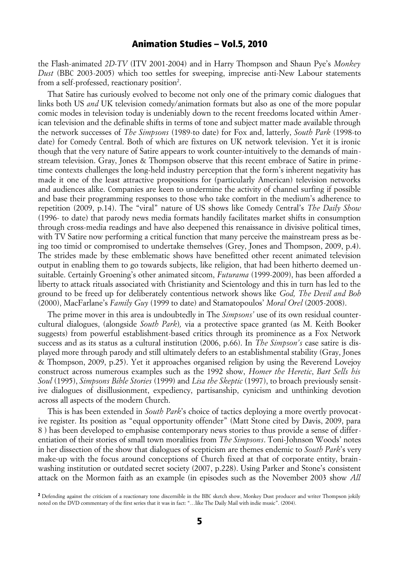the Flash-animated *2D-TV* (ITV 2001-2004) and in Harry Thompson and Shaun Pye's *Monkey Dust* (BBC 2003-2005) which too settles for sweeping, imprecise anti-New Labour statements from a self-professed, reactionary position<sup>[2](#page-4-0)</sup>.

That Satire has curiously evolved to become not only one of the primary comic dialogues that links both US *and* UK television comedy/animation formats but also as one of the more popular comic modes in television today is undeniably down to the recent freedoms located within American television and the definable shifts in terms of tone and subject matter made available through the network successes of *The Simpsons* (1989-to date) for Fox and, latterly, *South Park* (1998-to date) for Comedy Central. Both of which are fixtures on UK network television. Yet it is ironic though that the very nature of Satire appears to work counter-intuitively to the demands of mainstream television. Gray, Jones & Thompson observe that this recent embrace of Satire in primetime contexts challenges the long-held industry perception that the form's inherent negativity has made it one of the least attractive propositions for (particularly American) television networks and audiences alike. Companies are keen to undermine the activity of channel surfing if possible and base their programming responses to those who take comfort in the medium's adherence to repetition (2009, p.14). The "viral" nature of US shows like Comedy Central's *The Daily Show* (1996- to date) that parody news media formats handily facilitates market shifts in consumption through cross-media readings and have also deepened this renaissance in divisive political times, with TV Satire now performing a critical function that many perceive the mainstream press as being too timid or compromised to undertake themselves (Grey, Jones and Thompson, 2009, p.4). The strides made by these emblematic shows have benefitted other recent animated television output in enabling them to go towards subjects, like religion, that had been hitherto deemed unsuitable. Certainly Groening's other animated sitcom, *Futurama* (1999-2009), has been afforded a liberty to attack rituals associated with Christianity and Scientology and this in turn has led to the ground to be freed up for deliberately contentious network shows like *God, The Devil and Bob* (2000), MacFarlane's *Family Guy* (1999 to date) and Stamatopoulos' *Moral Orel* (2005-2008).

The prime mover in this area is undoubtedly in The *Simpsons'* use of its own residual countercultural dialogues, (alongside *South Park*)*,* via a protective space granted (as M. Keith Booker suggests) from powerful establishment-based critics through its prominence as a Fox Network success and as its status as a cultural institution (2006, p.66). In *The Simpson's* case satire is displayed more through parody and still ultimately defers to an establishmental stability (Gray, Jones & Thompson, 2009, p.25). Yet it approaches organised religion by using the Reverend Lovejoy construct across numerous examples such as the 1992 show, *Homer the Heretic*, *Bart Sells his Soul* (1995), *Simpsons Bible Stories* (1999) and *Lisa the Skeptic* (1997), to broach previously sensitive dialogues of disillusionment, expediency, partisanship, cynicism and unthinking devotion across all aspects of the modern Church.

This is has been extended in *South Park*'s choice of tactics deploying a more overtly provocative register. Its position as "equal opportunity offender" (Matt Stone cited by Davis, 2009, para 8 ) has been developed to emphasise contemporary news stories to thus provide a sense of differentiation of their stories of small town moralities from *The Simpsons*. Toni-Johnson Woods' notes in her dissection of the show that dialogues of scepticism are themes endemic to *South Park*'s very make-up with the focus around conceptions of Church fixed at that of corporate entity, brainwashing institution or outdated secret society (2007, p.228). Using Parker and Stone's consistent attack on the Mormon faith as an example (in episodes such as the November 2003 show *All*

<span id="page-4-0"></span><sup>&</sup>lt;sup>2</sup> Defending against the criticism of a reactionary tone discernible in the BBC sketch show, Monkey Dust producer and writer Thompson jokily noted on the DVD commentary of the first series that it was in fact: "…like The Daily Mail with indie music". (2004).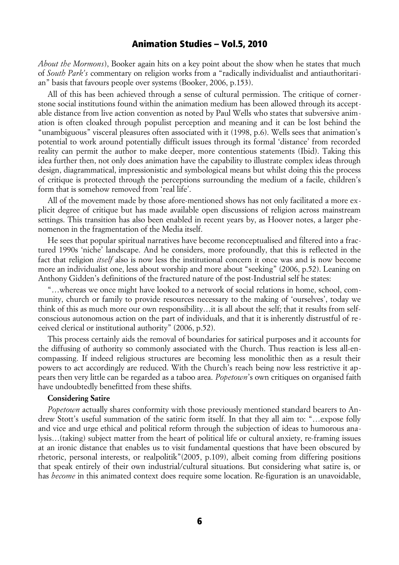*About the Mormons*), Booker again hits on a key point about the show when he states that much of *South Park's* commentary on religion works from a "radically individualist and antiauthoritarian" basis that favours people over systems (Booker, 2006, p.153).

All of this has been achieved through a sense of cultural permission. The critique of cornerstone social institutions found within the animation medium has been allowed through its acceptable distance from live action convention as noted by Paul Wells who states that subversive animation is often cloaked through populist perception and meaning and it can be lost behind the "unambiguous" visceral pleasures often associated with it (1998, p.6). Wells sees that animation's potential to work around potentially difficult issues through its formal 'distance' from recorded reality can permit the author to make deeper, more contentious statements (Ibid). Taking this idea further then, not only does animation have the capability to illustrate complex ideas through design, diagrammatical, impressionistic and symbological means but whilst doing this the process of critique is protected through the perceptions surrounding the medium of a facile, children's form that is somehow removed from 'real life'.

All of the movement made by those afore-mentioned shows has not only facilitated a more explicit degree of critique but has made available open discussions of religion across mainstream settings. This transition has also been enabled in recent years by, as Hoover notes, a larger phenomenon in the fragmentation of the Media itself.

He sees that popular spiritual narratives have become reconceptualised and filtered into a fractured 1990s 'niche' landscape. And he considers, more profoundly, that this is reflected in the fact that religion *itself* also is now less the institutional concern it once was and is now become more an individualist one, less about worship and more about "seeking" (2006, p.52). Leaning on Anthony Gidden's definitions of the fractured nature of the post-Industrial self he states:

"…whereas we once might have looked to a network of social relations in home, school, community, church or family to provide resources necessary to the making of 'ourselves', today we think of this as much more our own responsibility…it is all about the self; that it results from selfconscious autonomous action on the part of individuals, and that it is inherently distrustful of received clerical or institutional authority" (2006, p.52).

This process certainly aids the removal of boundaries for satirical purposes and it accounts for the diffusing of authority so commonly associated with the Church. Thus reaction is less all-encompassing. If indeed religious structures are becoming less monolithic then as a result their powers to act accordingly are reduced. With the Church's reach being now less restrictive it appears then very little can be regarded as a taboo area. *Popetown*'s own critiques on organised faith have undoubtedly benefitted from these shifts.

### **Considering Satire**

*Popetown* actually shares conformity with those previously mentioned standard bearers to Andrew Stott's useful summation of the satiric form itself. In that they all aim to: "…expose folly and vice and urge ethical and political reform through the subjection of ideas to humorous analysis…(taking) subject matter from the heart of political life or cultural anxiety, re-framing issues at an ironic distance that enables us to visit fundamental questions that have been obscured by rhetoric, personal interests, or realpolitik"(2005, p.109), albeit coming from differing positions that speak entirely of their own industrial/cultural situations. But considering what satire is, or has *become* in this animated context does require some location. Re-figuration is an unavoidable,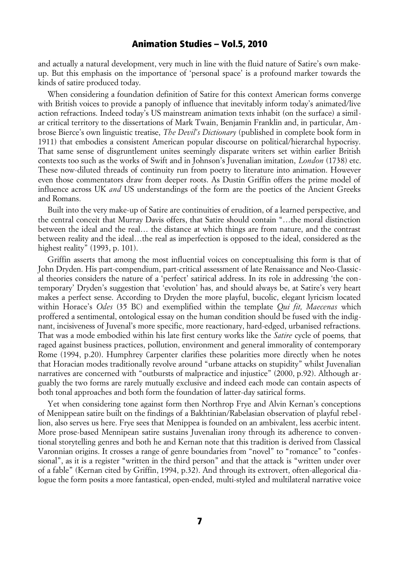and actually a natural development, very much in line with the fluid nature of Satire's own makeup. But this emphasis on the importance of 'personal space' is a profound marker towards the kinds of satire produced today.

When considering a foundation definition of Satire for this context American forms converge with British voices to provide a panoply of influence that inevitably inform today's animated/live action refractions. Indeed today's US mainstream animation texts inhabit (on the surface) a similar critical territory to the dissertations of Mark Twain, Benjamin Franklin and, in particular, Ambrose Bierce's own linguistic treatise, *The Devil's Dictionary* (published in complete book form in 1911) that embodies a consistent American popular discourse on political/hierarchal hypocrisy. That same sense of disgruntlement unites seemingly disparate writers set within earlier British contexts too such as the works of Swift and in Johnson's Juvenalian imitation, *London* (1738) etc. These now-diluted threads of continuity run from poetry to literature into animation. However even those commentators draw from deeper roots. As Dustin Griffin offers the prime model of influence across UK *and* US understandings of the form are the poetics of the Ancient Greeks and Romans.

Built into the very make-up of Satire are continuities of erudition, of a learned perspective, and the central conceit that Murray Davis offers, that Satire should contain "…the moral distinction between the ideal and the real… the distance at which things are from nature, and the contrast between reality and the ideal…the real as imperfection is opposed to the ideal, considered as the highest reality" (1993, p. 101).

Griffin asserts that among the most influential voices on conceptualising this form is that of John Dryden. His part-compendium, part-critical assessment of late Renaissance and Neo-Classical theories considers the nature of a 'perfect' satirical address. In its role in addressing 'the contemporary' Dryden's suggestion that 'evolution' has, and should always be, at Satire's very heart makes a perfect sense. According to Dryden the more playful, bucolic, elegant lyricism located within Horace's *Odes* (35 BC) and exemplified within the template *Qui fit, Maecenas* which proffered a sentimental, ontological essay on the human condition should be fused with the indignant, incisiveness of Juvenal's more specific, more reactionary, hard-edged, urbanised refractions. That was a mode embodied within his late first century works like the *Satire* cycle of poems*,* that raged against business practices, pollution, environment and general immorality of contemporary Rome (1994, p.20). Humphrey Carpenter clarifies these polarities more directly when he notes that Horacian modes traditionally revolve around "urbane attacks on stupidity" whilst Juvenalian narratives are concerned with "outbursts of malpractice and injustice" (2000, p.92). Although arguably the two forms are rarely mutually exclusive and indeed each mode can contain aspects of both tonal approaches and both form the foundation of latter-day satirical forms.

Yet when considering tone against form then Northrop Frye and Alvin Kernan's conceptions of Menippean satire built on the findings of a Bakhtinian/Rabelasian observation of playful rebellion, also serves us here. Frye sees that Menippea is founded on an ambivalent, less acerbic intent. More prose-based Mennipean satire sustains Juvenalian irony through its adherence to conventional storytelling genres and both he and Kernan note that this tradition is derived from Classical Varonnian origins. It crosses a range of genre boundaries from "novel" to "romance" to "confessional", as it is a register "written in the third person" and that the attack is "written under over of a fable" (Kernan cited by Griffin, 1994, p.32). And through its extrovert, often-allegorical dialogue the form posits a more fantastical, open-ended, multi-styled and multilateral narrative voice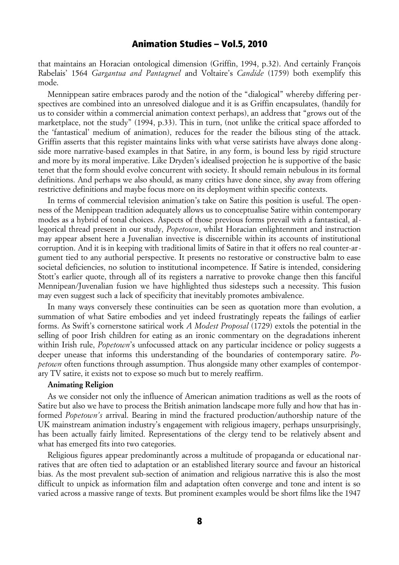that maintains an Horacian ontological dimension (Griffin, 1994, p.32). And certainly François Rabelais' 1564 *Gargantua and Pantagruel* and Voltaire's *Candide* (1759) both exemplify this mode.

Mennippean satire embraces parody and the notion of the "dialogical" whereby differing perspectives are combined into an unresolved dialogue and it is as Griffin encapsulates, (handily for us to consider within a commercial animation context perhaps), an address that "grows out of the marketplace, not the study" (1994, p.33). This in turn, (not unlike the critical space afforded to the 'fantastical' medium of animation), reduces for the reader the bilious sting of the attack. Griffin asserts that this register maintains links with what verse satirists have always done alongside more narrative-based examples in that Satire, in any form, is bound less by rigid structure and more by its moral imperative. Like Dryden's idealised projection he is supportive of the basic tenet that the form should evolve concurrent with society. It should remain nebulous in its formal definitions. And perhaps we also should, as many critics have done since, shy away from offering restrictive definitions and maybe focus more on its deployment within specific contexts.

In terms of commercial television animation's take on Satire this position is useful. The openness of the Menippean tradition adequately allows us to conceptualise Satire within contemporary modes as a hybrid of tonal choices. Aspects of those previous forms prevail with a fantastical, allegorical thread present in our study, *Popetown*, whilst Horacian enlightenment and instruction may appear absent here a Juvenalian invective is discernible within its accounts of institutional corruption. And it is in keeping with traditional limits of Satire in that it offers no real counter-argument tied to any authorial perspective. It presents no restorative or constructive balm to ease societal deficiencies, no solution to institutional incompetence. If Satire is intended, considering Stott's earlier quote, through all of its registers a narrative to provoke change then this fanciful Mennipean/Juvenalian fusion we have highlighted thus sidesteps such a necessity. This fusion may even suggest such a lack of specificity that inevitably promotes ambivalence.

In many ways conversely these continuities can be seen as quotation more than evolution, a summation of what Satire embodies and yet indeed frustratingly repeats the failings of earlier forms. As Swift's cornerstone satirical work *A Modest Proposal* (1729) extols the potential in the selling of poor Irish children for eating as an ironic commentary on the degradations inherent within Irish rule, *Popetown*'s unfocussed attack on any particular incidence or policy suggests a deeper unease that informs this understanding of the boundaries of contemporary satire. *Popetown* often functions through assumption. Thus alongside many other examples of contemporary TV satire, it exists not to expose so much but to merely reaffirm.

#### **Animating Religion**

As we consider not only the influence of American animation traditions as well as the roots of Satire but also we have to process the British animation landscape more fully and how that has informed *Popetown's* arrival. Bearing in mind the fractured production/authorship nature of the UK mainstream animation industry's engagement with religious imagery, perhaps unsurprisingly, has been actually fairly limited. Representations of the clergy tend to be relatively absent and what has emerged fits into two categories.

Religious figures appear predominantly across a multitude of propaganda or educational narratives that are often tied to adaptation or an established literary source and favour an historical bias. As the most prevalent sub-section of animation and religious narrative this is also the most difficult to unpick as information film and adaptation often converge and tone and intent is so varied across a massive range of texts. But prominent examples would be short films like the 1947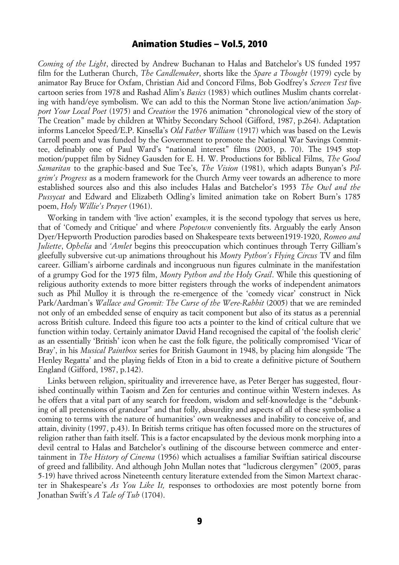*Coming of the Light*, directed by Andrew Buchanan to Halas and Batchelor's US funded 1957 film for the Lutheran Church, *The Candlemaker*, shorts like the *Spare a Thought* (1979) cycle by animator Ray Bruce for Oxfam, Christian Aid and Concord Films, Bob Godfrey's *Screen Test* five cartoon series from 1978 and Rashad Alim's *Basics* (1983) which outlines Muslim chants correlating with hand/eye symbolism. We can add to this the Norman Stone live action/animation *Support Your Local Poet* (1975) and *Creation* the 1976 animation "chronological view of the story of The Creation" made by children at Whitby Secondary School (Gifford, 1987, p.264). Adaptation informs Lancelot Speed/E.P. Kinsella's *Old Father William* (1917) which was based on the Lewis Carroll poem and was funded by the Government to promote the National War Savings Committee, definably one of Paul Ward's "national interest" films (2003, p. 70). The 1945 stop motion/puppet film by Sidney Gausden for E. H. W. Productions for Biblical Films, *The Good Samaritan* to the graphic-based and Sue Tee's, *The Vision* (1981), which adapts Bunyan's *Pilgrim's Progress* as a modern framework for the Church Army veer towards an adherence to more established sources also and this also includes Halas and Batchelor's 1953 *The Owl and the Pussycat* and Edward and Elizabeth Odling's limited animation take on Robert Burn's 1785 poem, *Holy Willie's Prayer* (1961).

Working in tandem with 'live action' examples, it is the second typology that serves us here, that of 'Comedy and Critique' and where *Popetown* conveniently fits. Arguably the early Anson Dyer/Hepworth Production parodies based on Shakespeare texts between1919-1920, *Romeo and Juliette*, *Ophelia* and *'Amlet* begins this preoccupation which continues through Terry Gilliam's gleefully subversive cut-up animations throughout his *Monty Python's Flying Circus* TV and film career. Gilliam's airborne cardinals and incongruous nun figures culminate in the manifestation of a grumpy God for the 1975 film, *Monty Python and the Holy Grail*. While this questioning of religious authority extends to more bitter registers through the works of independent animators such as Phil Mulloy it is through the re-emergence of the 'comedy vicar' construct in Nick Park/Aardman's *Wallace and Gromit: The Curse of the Were-Rabbit* (2005) that we are reminded not only of an embedded sense of enquiry as tacit component but also of its status as a perennial across British culture. Indeed this figure too acts a pointer to the kind of critical culture that we function within today. Certainly animator David Hand recognised the capital of 'the foolish cleric' as an essentially 'British' icon when he cast the folk figure, the politically compromised 'Vicar of Bray', in his *Musical Paintbox* series for British Gaumont in 1948, by placing him alongside 'The Henley Regatta' and the playing fields of Eton in a bid to create a definitive picture of Southern England (Gifford, 1987, p.142).

Links between religion, spirituality and irreverence have, as Peter Berger has suggested, flourished continually within Taoism and Zen for centuries and continue within Western indexes. As he offers that a vital part of any search for freedom, wisdom and self-knowledge is the "debunking of all pretensions of grandeur" and that folly, absurdity and aspects of all of these symbolise a coming to terms with the nature of humanities' own weaknesses and inability to conceive of, and attain, divinity (1997, p.43). In British terms critique has often focussed more on the structures of religion rather than faith itself. This is a factor encapsulated by the devious monk morphing into a devil central to Halas and Batchelor's outlining of the discourse between commerce and entertainment in *The History of Cinema* (1956) which actualises a familiar Swiftian satirical discourse of greed and fallibility. And although John Mullan notes that "ludicrous clergymen" (2005, paras 5-19) have thrived across Nineteenth century literature extended from the Simon Martext character in Shakespeare's *As You Like It,* responses to orthodoxies are most potently borne from Jonathan Swift's *A Tale of Tub* (1704).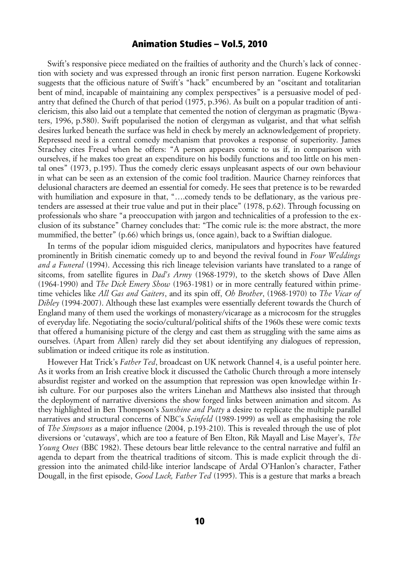Swift's responsive piece mediated on the frailties of authority and the Church's lack of connection with society and was expressed through an ironic first person narration. Eugene Korkowski suggests that the officious nature of Swift's "hack" encumbered by an "oscitant and totalitarian bent of mind, incapable of maintaining any complex perspectives" is a persuasive model of pedantry that defined the Church of that period (1975, p.396). As built on a popular tradition of anticlericism, this also laid out a template that cemented the notion of clergyman as pragmatic (Bywaters, 1996, p.580). Swift popularised the notion of clergyman as vulgarist, and that what selfish desires lurked beneath the surface was held in check by merely an acknowledgement of propriety. Repressed need is a central comedy mechanism that provokes a response of superiority. James Strachey cites Freud when he offers: "A person appears comic to us if, in comparison with ourselves, if he makes too great an expenditure on his bodily functions and too little on his mental ones" (1973, p.195). Thus the comedy cleric essays unpleasant aspects of our own behaviour in what can be seen as an extension of the comic fool tradition. Maurice Charney reinforces that delusional characters are deemed an essential for comedy. He sees that pretence is to be rewarded with humiliation and exposure in that, "….comedy tends to be deflationary, as the various pretenders are assessed at their true value and put in their place" (1978, p.62). Through focussing on professionals who share "a preoccupation with jargon and technicalities of a profession to the exclusion of its substance" Charney concludes that: "The comic rule is: the more abstract, the more mummified, the better" (p.66) which brings us, (once again), back to a Swiftian dialogue.

In terms of the popular idiom misguided clerics, manipulators and hypocrites have featured prominently in British cinematic comedy up to and beyond the revival found in *Four Weddings and a Funeral* (1994). Accessing this rich lineage television variants have translated to a range of sitcoms, from satellite figures in *Dad's Army* (1968-1979), to the sketch shows of Dave Allen (1964-1990) and *The Dick Emery Show* (1963-1981) or in more centrally featured within primetime vehicles like *All Gas and Gaiters*, and its spin off, *Oh Brother*, (1968-1970) to *The Vicar of Dibley* (1994-2007). Although these last examples were essentially deferent towards the Church of England many of them used the workings of monastery/vicarage as a microcosm for the struggles of everyday life. Negotiating the socio/cultural/political shifts of the 1960s these were comic texts that offered a humanising picture of the clergy and cast them as struggling with the same aims as ourselves. (Apart from Allen) rarely did they set about identifying any dialogues of repression, sublimation or indeed critique its role as institution.

However Hat Trick's *Father Ted*, broadcast on UK network Channel 4, is a useful pointer here. As it works from an Irish creative block it discussed the Catholic Church through a more intensely absurdist register and worked on the assumption that repression was open knowledge within Irish culture. For our purposes also the writers Linehan and Matthews also insisted that through the deployment of narrative diversions the show forged links between animation and sitcom. As they highlighted in Ben Thompson's *Sunshine and Putty* a desire to replicate the multiple parallel narratives and structural concerns of NBC's *Seinfeld* (1989-1999) as well as emphasising the role of *The Simpsons* as a major influence (2004, p.193-210). This is revealed through the use of plot diversions or 'cutaways', which are too a feature of Ben Elton, Rik Mayall and Lise Mayer's, *The Young Ones* (BBC 1982). These detours bear little relevance to the central narrative and fulfil an agenda to depart from the theatrical traditions of sitcom. This is made explicit through the digression into the animated child-like interior landscape of Ardal O'Hanlon's character, Father Dougall, in the first episode, *Good Luck, Father Ted* (1995). This is a gesture that marks a breach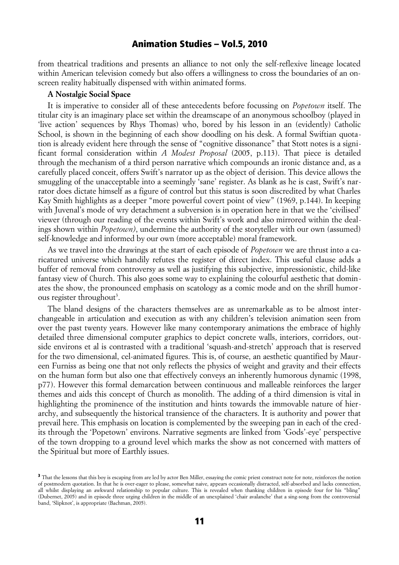from theatrical traditions and presents an alliance to not only the self-reflexive lineage located within American television comedy but also offers a willingness to cross the boundaries of an onscreen reality habitually dispensed with within animated forms.

### **A Nostalgic Social Space**

It is imperative to consider all of these antecedents before focussing on *Popetown* itself. The titular city is an imaginary place set within the dreamscape of an anonymous schoolboy (played in 'live action' sequences by Rhys Thomas) who, bored by his lesson in an (evidently) Catholic School, is shown in the beginning of each show doodling on his desk. A formal Swiftian quotation is already evident here through the sense of "cognitive dissonance" that Stott notes is a significant formal consideration within *A Modest Proposal* (2005, p.113). That piece is detailed through the mechanism of a third person narrative which compounds an ironic distance and, as a carefully placed conceit, offers Swift's narrator up as the object of derision. This device allows the smuggling of the unacceptable into a seemingly 'sane' register. As blank as he is cast, Swift's narrator does dictate himself as a figure of control but this status is soon discredited by what Charles Kay Smith highlights as a deeper "more powerful covert point of view" (1969, p.144). In keeping with Juvenal's mode of wry detachment a subversion is in operation here in that we the 'civilised' viewer (through our reading of the events within Swift's work and also mirrored within the dealings shown within *Popetown)*, undermine the authority of the storyteller with our own (assumed) self-knowledge and informed by our own (more acceptable) moral framework.

As we travel into the drawings at the start of each episode of *Popetown* we are thrust into a caricatured universe which handily refutes the register of direct index. This useful clause adds a buffer of removal from controversy as well as justifying this subjective, impressionistic, child-like fantasy view of Church. This also goes some way to explaining the colourful aesthetic that dominates the show, the pronounced emphasis on scatology as a comic mode and on the shrill humor-ous register throughout<sup>[3](#page-10-0)</sup>.

The bland designs of the characters themselves are as unremarkable as to be almost interchangeable in articulation and execution as with any children's television animation seen from over the past twenty years. However like many contemporary animations the embrace of highly detailed three dimensional computer graphics to depict concrete walls, interiors, corridors, outside environs et al is contrasted with a traditional 'squash-and-stretch' approach that is reserved for the two dimensional, cel-animated figures. This is, of course, an aesthetic quantified by Maureen Furniss as being one that not only reflects the physics of weight and gravity and their effects on the human form but also one that effectively conveys an inherently humorous dynamic (1998, p77). However this formal demarcation between continuous and malleable reinforces the larger themes and aids this concept of Church as monolith. The adding of a third dimension is vital in highlighting the prominence of the institution and hints towards the immovable nature of hierarchy, and subsequently the historical transience of the characters. It is authority and power that prevail here. This emphasis on location is complemented by the sweeping pan in each of the credits through the 'Popetown' environs. Narrative segments are linked from 'Gods'-eye' perspective of the town dropping to a ground level which marks the show as not concerned with matters of the Spiritual but more of Earthly issues.

<span id="page-10-0"></span><sup>&</sup>lt;sup>3</sup> That the lessons that this boy is escaping from are led by actor Ben Miller, essaying the comic priest construct note for note, reinforces the notion of postmodern quotation. In that he is over-eager to please, somewhat naive, appears occasionally distracted, self-absorbed and lacks connection, all whilst displaying an awkward relationship to popular culture. This is revealed when thanking children in episode four for his "bling" (Dubernet, 2005) and in episode three urging children in the middle of an unexplained 'chair avalanche' that a sing-song from the controversial band, 'Slipknot', is appropriate (Bachman, 2005).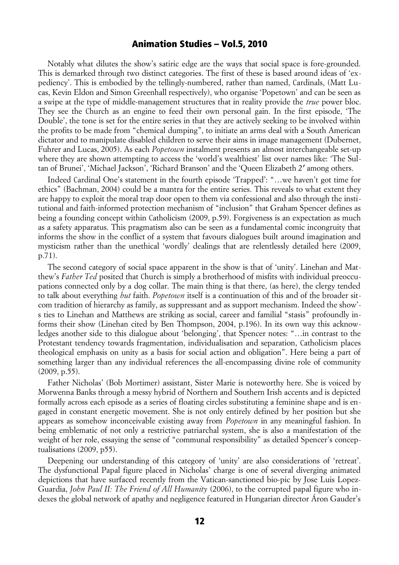Notably what dilutes the show's satiric edge are the ways that social space is fore-grounded. This is demarked through two distinct categories. The first of these is based around ideas of 'expediency'. This is embodied by the tellingly-numbered, rather than named, Cardinals, (Matt Lucas, Kevin Eldon and Simon Greenhall respectively), who organise 'Popetown' and can be seen as a swipe at the type of middle-management structures that in reality provide the *true* power bloc. They see the Church as an engine to feed their own personal gain. In the first episode, 'The Double', the tone is set for the entire series in that they are actively seeking to be involved within the profits to be made from "chemical dumping", to initiate an arms deal with a South American dictator and to manipulate disabled children to serve their aims in image management (Dubernet, Fuhrer and Lucas, 2005). As each *Popetown* instalment presents an almost interchangeable set-up where they are shown attempting to access the 'world's wealthiest' list over names like: 'The Sultan of Brunei', 'Michael Jackson', 'Richard Branson' and the 'Queen Elizabeth 2' among others.

Indeed Cardinal One's statement in the fourth episode 'Trapped': "…we haven't got time for ethics" (Bachman, 2004) could be a mantra for the entire series. This reveals to what extent they are happy to exploit the moral trap door open to them via confessional and also through the institutional and faith-informed protection mechanism of "inclusion" that Graham Spencer defines as being a founding concept within Catholicism (2009, p.59). Forgiveness is an expectation as much as a safety apparatus. This pragmatism also can be seen as a fundamental comic incongruity that informs the show in the conflict of a system that favours dialogues built around imagination and mysticism rather than the unethical 'wordly' dealings that are relentlessly detailed here (2009, p.71).

The second category of social space apparent in the show is that of 'unity'. Linehan and Matthew's *Father Ted* posited that Church is simply a brotherhood of misfits with individual preoccupations connected only by a dog collar. The main thing is that there, (as here), the clergy tended to talk about everything *but* faith. *Popetown* itself is a continuation of this and of the broader sitcom tradition of hierarchy as family, as suppressant and as support mechanism. Indeed the show' s ties to Linehan and Matthews are striking as social, career and familial "stasis" profoundly informs their show (Linehan cited by Ben Thompson, 2004, p.196). In its own way this acknowledges another side to this dialogue about 'belonging', that Spencer notes: "…in contrast to the Protestant tendency towards fragmentation, individualisation and separation, Catholicism places theological emphasis on unity as a basis for social action and obligation". Here being a part of something larger than any individual references the all-encompassing divine role of community  $(2009, p.55)$ .

Father Nicholas' (Bob Mortimer) assistant, Sister Marie is noteworthy here. She is voiced by Morwenna Banks through a messy hybrid of Northern and Southern Irish accents and is depicted formally across each episode as a series of floating circles substituting a feminine shape and is engaged in constant energetic movement. She is not only entirely defined by her position but she appears as somehow inconceivable existing away from *Popetown* in any meaningful fashion. In being emblematic of not only a restrictive patriarchal system, she is also a manifestation of the weight of her role, essaying the sense of "communal responsibility" as detailed Spencer's conceptualisations (2009, p55).

Deepening our understanding of this category of 'unity' are also considerations of 'retreat'. The dysfunctional Papal figure placed in Nicholas' charge is one of several diverging animated depictions that have surfaced recently from the Vatican-sanctioned bio-pic by Jose Luis Lopez-Guardia, *John Paul II: The Friend of All Humanity* (2006), to the corrupted papal figure who indexes the global network of apathy and negligence featured in Hungarian director Áron Gauder's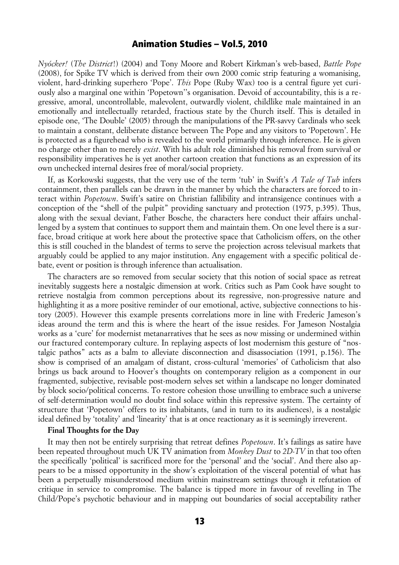*Nyócker!* (*The District*!) (2004) and Tony Moore and Robert Kirkman's web-based, *Battle Pope* (2008), for Spike TV which is derived from their own 2000 comic strip featuring a womanising, violent, hard-drinking superhero 'Pope'. *This* Pope (Ruby Wax) too is a central figure yet curiously also a marginal one within 'Popetown''s organisation. Devoid of accountability, this is a regressive, amoral, uncontrollable, malevolent, outwardly violent, childlike male maintained in an emotionally and intellectually retarded, fractious state by the Church itself. This is detailed in episode one, 'The Double' (2005) through the manipulations of the PR-savvy Cardinals who seek to maintain a constant, deliberate distance between The Pope and any visitors to 'Popetown'. He is protected as a figurehead who is revealed to the world primarily through inference. He is given no charge other than to merely *exist*. With his adult role diminished his removal from survival or responsibility imperatives he is yet another cartoon creation that functions as an expression of its own unchecked internal desires free of moral/social propriety.

If, as Korkowski suggests, that the very use of the term 'tub' in Swift's *A Tale of Tub* infers containment, then parallels can be drawn in the manner by which the characters are forced to interact within *Popetown*. Swift's satire on Christian fallibility and intransigence continues with a conception of the "shell of the pulpit" providing sanctuary and protection (1975, p.395). Thus, along with the sexual deviant, Father Bosche, the characters here conduct their affairs unchallenged by a system that continues to support them and maintain them. On one level there is a surface, broad critique at work here about the protective space that Catholicism offers, on the other this is still couched in the blandest of terms to serve the projection across televisual markets that arguably could be applied to any major institution. Any engagement with a specific political debate, event or position is through inference than actualisation.

The characters are so removed from secular society that this notion of social space as retreat inevitably suggests here a nostalgic dimension at work. Critics such as Pam Cook have sought to retrieve nostalgia from common perceptions about its regressive, non-progressive nature and highlighting it as a more positive reminder of our emotional, active, subjective connections to history (2005). However this example presents correlations more in line with Frederic Jameson's ideas around the term and this is where the heart of the issue resides. For Jameson Nostalgia works as a 'cure' for modernist metanarratives that he sees as now missing or undermined within our fractured contemporary culture. In replaying aspects of lost modernism this gesture of "nostalgic pathos" acts as a balm to alleviate disconnection and disassociation (1991, p.156). The show is comprised of an amalgam of distant, cross-cultural 'memories' of Catholicism that also brings us back around to Hoover's thoughts on contemporary religion as a component in our fragmented, subjective, revisable post-modern selves set within a landscape no longer dominated by block socio/political concerns. To restore cohesion those unwilling to embrace such a universe of self-determination would no doubt find solace within this repressive system. The certainty of structure that 'Popetown' offers to its inhabitants, (and in turn to its audiences), is a nostalgic ideal defined by 'totality' and 'linearity' that is at once reactionary as it is seemingly irreverent.

### **Final Thoughts for the Day**

It may then not be entirely surprising that retreat defines *Popetown*. It's failings as satire have been repeated throughout much UK TV animation from *Monkey Dust* to *2D-TV* in that too often the specifically 'political' is sacrificed more for the 'personal' and the 'social'. And there also appears to be a missed opportunity in the show's exploitation of the visceral potential of what has been a perpetually misunderstood medium within mainstream settings through it refutation of critique in service to compromise. The balance is tipped more in favour of revelling in The Child/Pope's psychotic behaviour and in mapping out boundaries of social acceptability rather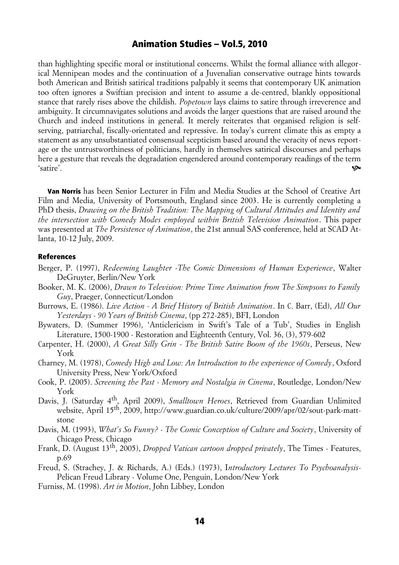than highlighting specific moral or institutional concerns. Whilst the formal alliance with allegorical Mennipean modes and the continuation of a Juvenalian conservative outrage hints towards both American and British satirical traditions palpably it seems that contemporary UK animation too often ignores a Swiftian precision and intent to assume a de-centred, blankly oppositional stance that rarely rises above the childish. *Popetown* lays claims to satire through irreverence and ambiguity. It circumnavigates solutions and avoids the larger questions that are raised around the Church and indeed institutions in general. It merely reiterates that organised religion is selfserving, patriarchal, fiscally-orientated and repressive. In today's current climate this as empty a statement as any unsubstantiated consensual scepticism based around the veracity of news reportage or the untrustworthiness of politicians, hardly in themselves satirical discourses and perhaps here a gesture that reveals the degradation engendered around contemporary readings of the term 'satire'.

Van Norris has been Senior Lecturer in Film and Media Studies at the School of Creative Art Film and Media, University of Portsmouth, England since 2003. He is currently completing a PhD thesis, *Drawing on the British Tradition: The Mapping of Cultural Attitudes and Identity and the intersection with Comedy Modes employed within British Television Animation*. This paper was presented at *The Persistence of Animation*, the 21st annual SAS conference, held at SCAD Atlanta, 10-12 July, 2009.

#### References

- Berger, P. (1997), *Redeeming Laughter -The Comic Dimensions of Human Experience*, Walter DeGruyter, Berlin/New York
- Booker, M. K. (2006), *Drawn to Television: Prime Time Animation from The Simpsons to Family Guy*, Praeger, Connecticut/London
- Burrows, E. (1986). *Live Action A Brief History of British Animation*. In C. Barr, (Ed), *All Our Yesterdays - 90 Years of British Cinema*, (pp 272-285), BFI, London
- Bywaters, D. (Summer 1996), 'Anticlericism in Swift's Tale of a Tub', Studies in English Literature, 1500-1900 - Restoration and Eighteenth Century, Vol. 36, (3), 579-602
- Carpenter, H. (2000), *A Great Silly Grin The British Satire Boom of the 1960s*, Perseus, New York
- Charney, M. (1978), *Comedy High and Low: An Introduction to the experience of Comedy*, Oxford University Press, New York/Oxford
- Cook, P. (2005). *Screening the Past Memory and Nostalgia in Cinema*, Routledge, London/New York
- Davis, J. (Saturday 4th, April 2009), *Smalltown Heroes*, Retrieved from Guardian Unlimited website, April 15th, 2009, http://www.guardian.co.uk/culture/2009/apr/02/sout-park-mattstone
- Davis, M. (1993), *What's So Funny? The Comic Conception of Culture and Society*, University of Chicago Press, Chicago
- Frank, D. (August 13th, 2005), *Dropped Vatican cartoon dropped privately*, The Times Features, p.69
- Freud, S. (Strachey, J. & Richards, A.) (Eds.) (1973), I*ntroductory Lectures To Psychoanalysis*-Pelican Freud Library - Volume One, Penguin, London/New York
- Furniss, M. (1998). *Art in Motion*, John Libbey, London